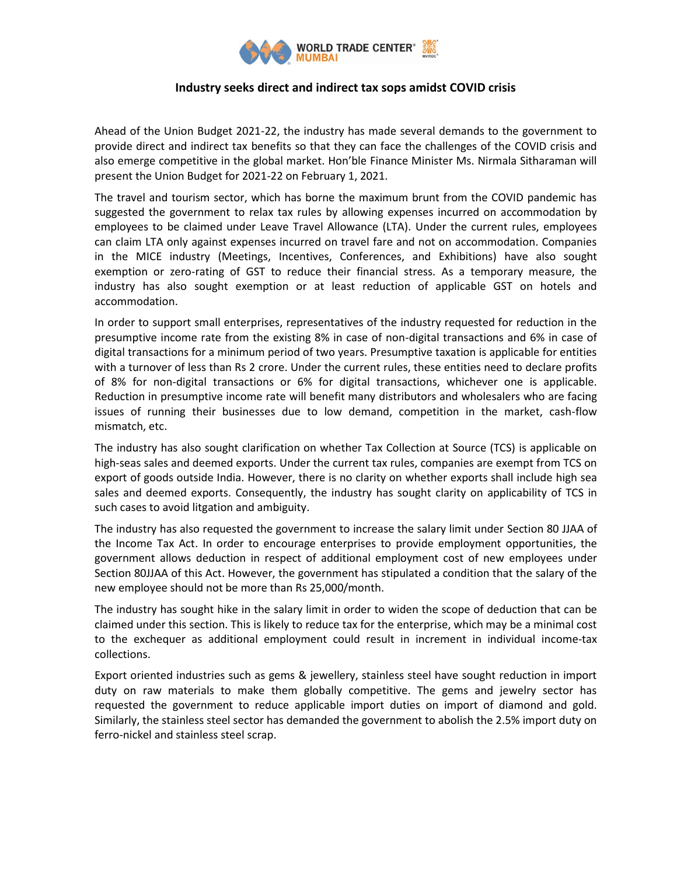

## **Industry seeks direct and indirect tax sops amidst COVID crisis**

Ahead of the Union Budget 2021-22, the industry has made several demands to the government to provide direct and indirect tax benefits so that they can face the challenges of the COVID crisis and also emerge competitive in the global market. Hon'ble Finance Minister Ms. Nirmala Sitharaman will present the Union Budget for 2021-22 on February 1, 2021.

The travel and tourism sector, which has borne the maximum brunt from the COVID pandemic has suggested the government to relax tax rules by allowing expenses incurred on accommodation by employees to be claimed under Leave Travel Allowance (LTA). Under the current rules, employees can claim LTA only against expenses incurred on travel fare and not on accommodation. Companies in the MICE industry (Meetings, Incentives, Conferences, and Exhibitions) have also sought exemption or zero-rating of GST to reduce their financial stress. As a temporary measure, the industry has also sought exemption or at least reduction of applicable GST on hotels and accommodation.

In order to support small enterprises, representatives of the industry requested for reduction in the presumptive income rate from the existing 8% in case of non-digital transactions and 6% in case of digital transactions for a minimum period of two years. Presumptive taxation is applicable for entities with a turnover of less than Rs 2 crore. Under the current rules, these entities need to declare profits of 8% for non-digital transactions or 6% for digital transactions, whichever one is applicable. Reduction in presumptive income rate will benefit many distributors and wholesalers who are facing issues of running their businesses due to low demand, competition in the market, cash-flow mismatch, etc.

The industry has also sought clarification on whether Tax Collection at Source (TCS) is applicable on high-seas sales and deemed exports. Under the current tax rules, companies are exempt from TCS on export of goods outside India. However, there is no clarity on whether exports shall include high sea sales and deemed exports. Consequently, the industry has sought clarity on applicability of TCS in such cases to avoid litgation and ambiguity.

The industry has also requested the government to increase the salary limit under Section 80 JJAA of the Income Tax Act. In order to encourage enterprises to provide employment opportunities, the government allows deduction in respect of additional employment cost of new employees under Section 80JJAA of this Act. However, the government has stipulated a condition that the salary of the new employee should not be more than Rs 25,000/month.

The industry has sought hike in the salary limit in order to widen the scope of deduction that can be claimed under this section. This is likely to reduce tax for the enterprise, which may be a minimal cost to the exchequer as additional employment could result in increment in individual income-tax collections.

Export oriented industries such as gems & jewellery, stainless steel have sought reduction in import duty on raw materials to make them globally competitive. The gems and jewelry sector has requested the government to reduce applicable import duties on import of diamond and gold. Similarly, the stainless steel sector has demanded the government to abolish the 2.5% import duty on ferro-nickel and stainless steel scrap.